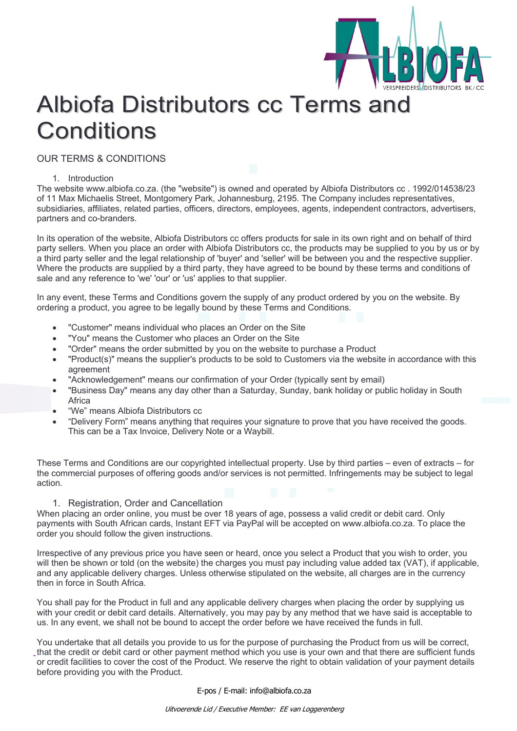

# Albiofa Distributors cc Terms and **Conditions**

# OUR TERMS & CONDITIONS

#### 1. Introduction

The website www.albiofa.co.za. (the "website") is owned and operated by Albiofa Distributors cc . 1992/014538/23 of 11 Max Michaelis Street, Montgomery Park, Johannesburg, 2195. The Company includes representatives, subsidiaries, affiliates, related parties, officers, directors, employees, agents, independent contractors, advertisers, partners and co-branders.

In its operation of the website, Albiofa Distributors cc offers products for sale in its own right and on behalf of third party sellers. When you place an order with Albiofa Distributors cc, the products may be supplied to you by us or by a third party seller and the legal relationship of 'buyer' and 'seller' will be between you and the respective supplier. Where the products are supplied by a third party, they have agreed to be bound by these terms and conditions of sale and any reference to 'we' 'our' or 'us' applies to that supplier.

In any event, these Terms and Conditions govern the supply of any product ordered by you on the website. By ordering a product, you agree to be legally bound by these Terms and Conditions.

- "Customer" means individual who places an Order on the Site
- "You" means the Customer who places an Order on the Site
- "Order" means the order submitted by you on the website to purchase a Product
- "Product(s)" means the supplier's products to be sold to Customers via the website in accordance with this agreement
- "Acknowledgement" means our confirmation of your Order (typically sent by email)
- "Business Day" means any day other than a Saturday, Sunday, bank holiday or public holiday in South Africa
- "We" means Albiofa Distributors cc
- "Delivery Form" means anything that requires your signature to prove that you have received the goods. This can be a Tax Invoice, Delivery Note or a Waybill.

These Terms and Conditions are our copyrighted intellectual property. Use by third parties – even of extracts – for the commercial purposes of offering goods and/or services is not permitted. Infringements may be subject to legal action.

# 1. Registration, Order and Cancellation

When placing an order online, you must be over 18 years of age, possess a valid credit or debit card. Only payments with South African cards, Instant EFT via PayPal will be accepted on www.albiofa.co.za. To place the order you should follow the given instructions.

Irrespective of any previous price you have seen or heard, once you select a Product that you wish to order, you will then be shown or told (on the website) the charges you must pay including value added tax (VAT), if applicable, and any applicable delivery charges. Unless otherwise stipulated on the website, all charges are in the currency then in force in South Africa.

You shall pay for the Product in full and any applicable delivery charges when placing the order by supplying us with your credit or debit card details. Alternatively, you may pay by any method that we have said is acceptable to us. In any event, we shall not be bound to accept the order before we have received the funds in full.

or credit facilities to cover the cost of the Product. We reserve the right to obtain validation of your payment details<br>heface are idling uses with the Preduct You undertake that all details you provide to us for the purpose of purchasing the Product from us will be correct, that the credit or debit card or other payment method which you use is your own and that there are sufficient funds before providing you with the Product.

E-pos / E-mail: info@albiofa.co.za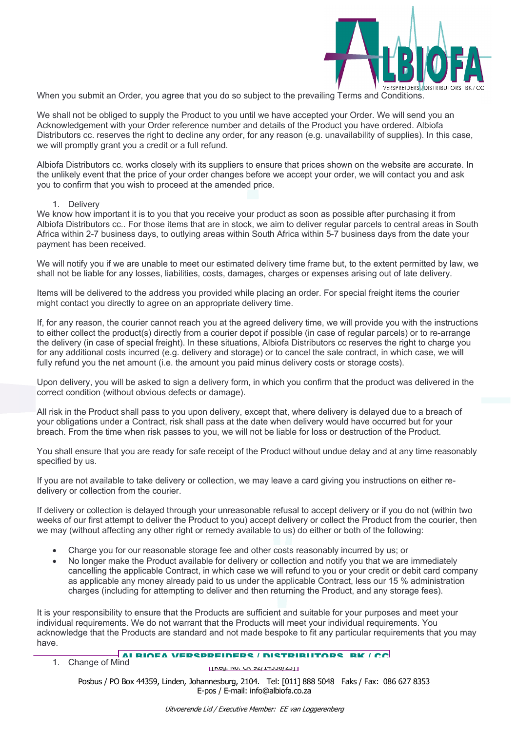

When you submit an Order, you agree that you do so subject to the prevailing Terms and Conditions.

We shall not be obliged to supply the Product to you until we have accepted your Order. We will send you an Acknowledgement with your Order reference number and details of the Product you have ordered. Albiofa Distributors cc. reserves the right to decline any order, for any reason (e.g. unavailability of supplies). In this case, we will promptly grant you a credit or a full refund.

Albiofa Distributors cc. works closely with its suppliers to ensure that prices shown on the website are accurate. In the unlikely event that the price of your order changes before we accept your order, we will contact you and ask you to confirm that you wish to proceed at the amended price.

#### 1. Delivery

We know how important it is to you that you receive your product as soon as possible after purchasing it from Albiofa Distributors cc.. For those items that are in stock, we aim to deliver regular parcels to central areas in South Africa within 2-7 business days, to outlying areas within South Africa within 5-7 business days from the date your payment has been received.

We will notify you if we are unable to meet our estimated delivery time frame but, to the extent permitted by law, we shall not be liable for any losses, liabilities, costs, damages, charges or expenses arising out of late delivery.

Items will be delivered to the address you provided while placing an order. For special freight items the courier might contact you directly to agree on an appropriate delivery time.

If, for any reason, the courier cannot reach you at the agreed delivery time, we will provide you with the instructions to either collect the product(s) directly from a courier depot if possible (in case of regular parcels) or to re-arrange the delivery (in case of special freight). In these situations, Albiofa Distributors cc reserves the right to charge you for any additional costs incurred (e.g. delivery and storage) or to cancel the sale contract, in which case, we will fully refund you the net amount (i.e. the amount you paid minus delivery costs or storage costs).

Upon delivery, you will be asked to sign a delivery form, in which you confirm that the product was delivered in the correct condition (without obvious defects or damage).

All risk in the Product shall pass to you upon delivery, except that, where delivery is delayed due to a breach of your obligations under a Contract, risk shall pass at the date when delivery would have occurred but for your breach. From the time when risk passes to you, we will not be liable for loss or destruction of the Product.

You shall ensure that you are ready for safe receipt of the Product without undue delay and at any time reasonably specified by us.

If you are not available to take delivery or collection, we may leave a card giving you instructions on either redelivery or collection from the courier.

If delivery or collection is delayed through your unreasonable refusal to accept delivery or if you do not (within two weeks of our first attempt to deliver the Product to you) accept delivery or collect the Product from the courier, then we may (without affecting any other right or remedy available to us) do either or both of the following:

- Charge you for our reasonable storage fee and other costs reasonably incurred by us; or
- No longer make the Product available for delivery or collection and notify you that we are immediately cancelling the applicable Contract, in which case we will refund to you or your credit or debit card company as applicable any money already paid to us under the applicable Contract, less our 15 % administration charges (including for attempting to deliver and then returning the Product, and any storage fees).

It is your responsibility to ensure that the Products are sufficient and suitable for your purposes and meet your individual requirements. We do not warrant that the Products will meet your individual requirements. You acknowledge that the Products are standard and not made bespoke to fit any particular requirements that you may have.

ALBIOFA VERSPREIDERS / DISTRIBUTORS BK / CC 1. Change of Mind

[Reg. No. CK 92/14538/23]

Posbus / PO Box 44359, Linden, Johannesburg, 2104. Tel: [011] 888 5048 Faks / Fax: 086 627 8353 E-pos / E-mail: info@albiofa.co.za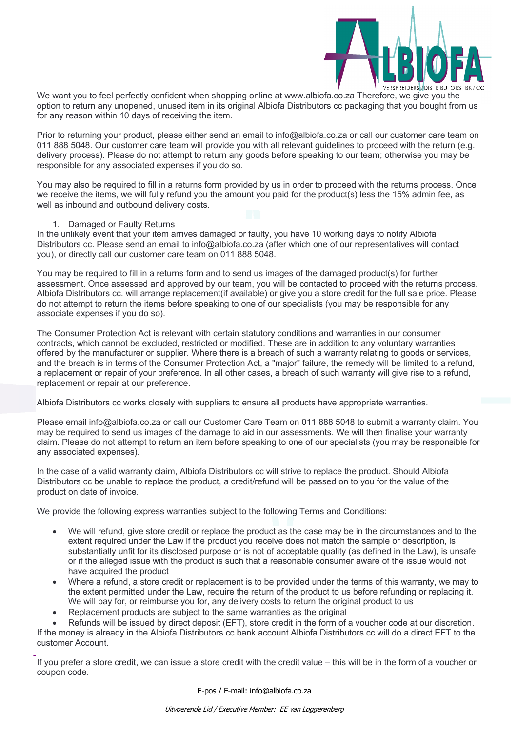

We want you to feel perfectly confident when shopping online at www.albiofa.co.za Therefore, we give you the option to return any unopened, unused item in its original Albiofa Distributors cc packaging that you bought from us for any reason within 10 days of receiving the item.

Prior to returning your product, please either send an email to info@albiofa.co.za or call our customer care team on 011 888 5048. Our customer care team will provide you with all relevant guidelines to proceed with the return (e.g. delivery process). Please do not attempt to return any goods before speaking to our team; otherwise you may be responsible for any associated expenses if you do so.

You may also be required to fill in a returns form provided by us in order to proceed with the returns process. Once we receive the items, we will fully refund you the amount you paid for the product(s) less the 15% admin fee, as well as inbound and outbound delivery costs.

## 1. Damaged or Faulty Returns

In the unlikely event that your item arrives damaged or faulty, you have 10 working days to notify Albiofa Distributors cc. Please send an email to info@albiofa.co.za (after which one of our representatives will contact you), or directly call our customer care team on 011 888 5048.

You may be required to fill in a returns form and to send us images of the damaged product(s) for further assessment. Once assessed and approved by our team, you will be contacted to proceed with the returns process. Albiofa Distributors cc. will arrange replacement(if available) or give you a store credit for the full sale price. Please do not attempt to return the items before speaking to one of our specialists (you may be responsible for any associate expenses if you do so).

The Consumer Protection Act is relevant with certain statutory conditions and warranties in our consumer contracts, which cannot be excluded, restricted or modified. These are in addition to any voluntary warranties offered by the manufacturer or supplier. Where there is a breach of such a warranty relating to goods or services, and the breach is in terms of the Consumer Protection Act, a "major" failure, the remedy will be limited to a refund, a replacement or repair of your preference. In all other cases, a breach of such warranty will give rise to a refund, replacement or repair at our preference.

Albiofa Distributors cc works closely with suppliers to ensure all products have appropriate warranties.

Please email info@albiofa.co.za or call our Customer Care Team on 011 888 5048 to submit a warranty claim. You may be required to send us images of the damage to aid in our assessments. We will then finalise your warranty claim. Please do not attempt to return an item before speaking to one of our specialists (you may be responsible for any associated expenses).

In the case of a valid warranty claim, Albiofa Distributors cc will strive to replace the product. Should Albiofa Distributors cc be unable to replace the product, a credit/refund will be passed on to you for the value of the product on date of invoice.

We provide the following express warranties subject to the following Terms and Conditions:

- We will refund, give store credit or replace the product as the case may be in the circumstances and to the extent required under the Law if the product you receive does not match the sample or description, is substantially unfit for its disclosed purpose or is not of acceptable quality (as defined in the Law), is unsafe, or if the alleged issue with the product is such that a reasonable consumer aware of the issue would not have acquired the product
- Where a refund, a store credit or replacement is to be provided under the terms of this warranty, we may to the extent permitted under the Law, require the return of the product to us before refunding or replacing it. We will pay for, or reimburse you for, any delivery costs to return the original product to us
- Replacement products are subject to the same warranties as the original

• Refunds will be issued by direct deposit (EFT), store credit in the form of a voucher code at our discretion. If the money is already in the Albiofa Distributors cc bank account Albiofa Distributors cc will do a direct EFT to the customer Account.

If you prefer a store credit, we can issue a store credit with the credit value – this will be in the form of a voucher or coupon code.

E-pos / E-mail: info@albiofa.co.za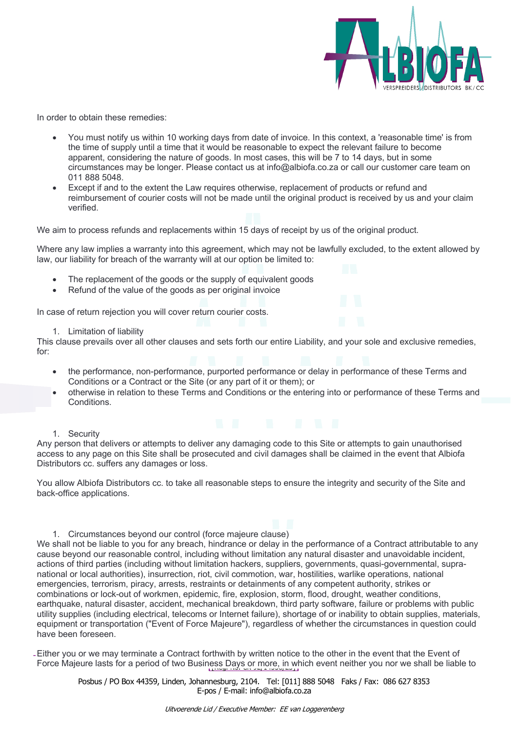

In order to obtain these remedies:

- You must notify us within 10 working days from date of invoice. In this context, a 'reasonable time' is from the time of supply until a time that it would be reasonable to expect the relevant failure to become apparent, considering the nature of goods. In most cases, this will be 7 to 14 days, but in some circumstances may be longer. Please contact us at info@albiofa.co.za or call our customer care team on 011 888 5048.
- Except if and to the extent the Law requires otherwise, replacement of products or refund and reimbursement of courier costs will not be made until the original product is received by us and your claim verified.

We aim to process refunds and replacements within 15 days of receipt by us of the original product.

Where any law implies a warranty into this agreement, which may not be lawfully excluded, to the extent allowed by law, our liability for breach of the warranty will at our option be limited to:

- The replacement of the goods or the supply of equivalent goods
- Refund of the value of the goods as per original invoice

In case of return rejection you will cover return courier costs.

1. Limitation of liability

This clause prevails over all other clauses and sets forth our entire Liability, and your sole and exclusive remedies, for:

- the performance, non-performance, purported performance or delay in performance of these Terms and Conditions or a Contract or the Site (or any part of it or them); or
- otherwise in relation to these Terms and Conditions or the entering into or performance of these Terms and Conditions.

#### 1. Security

Any person that delivers or attempts to deliver any damaging code to this Site or attempts to gain unauthorised access to any page on this Site shall be prosecuted and civil damages shall be claimed in the event that Albiofa Distributors cc. suffers any damages or loss.

You allow Albiofa Distributors cc. to take all reasonable steps to ensure the integrity and security of the Site and back-office applications.

1. Circumstances beyond our control (force majeure clause)

We shall not be liable to you for any breach, hindrance or delay in the performance of a Contract attributable to any cause beyond our reasonable control, including without limitation any natural disaster and unavoidable incident, actions of third parties (including without limitation hackers, suppliers, governments, quasi-governmental, supranational or local authorities), insurrection, riot, civil commotion, war, hostilities, warlike operations, national emergencies, terrorism, piracy, arrests, restraints or detainments of any competent authority, strikes or combinations or lock-out of workmen, epidemic, fire, explosion, storm, flood, drought, weather conditions, earthquake, natural disaster, accident, mechanical breakdown, third party software, failure or problems with public utility supplies (including electrical, telecoms or Internet failure), shortage of or inability to obtain supplies, materials, equipment or transportation ("Event of Force Majeure"), regardless of whether the circumstances in question could have been foreseen.

Force Majeure lasts for a period of two Business Days or more, in which event neither you nor we shall be liable to Either you or we may terminate a Contract forthwith by written notice to the other in the event that the Event of

> Posbus / PO Box 44359, Linden, Johannesburg, 2104. Tel: [011] 888 5048 Faks / Fax: 086 627 8353 E-pos / E-mail: info@albiofa.co.za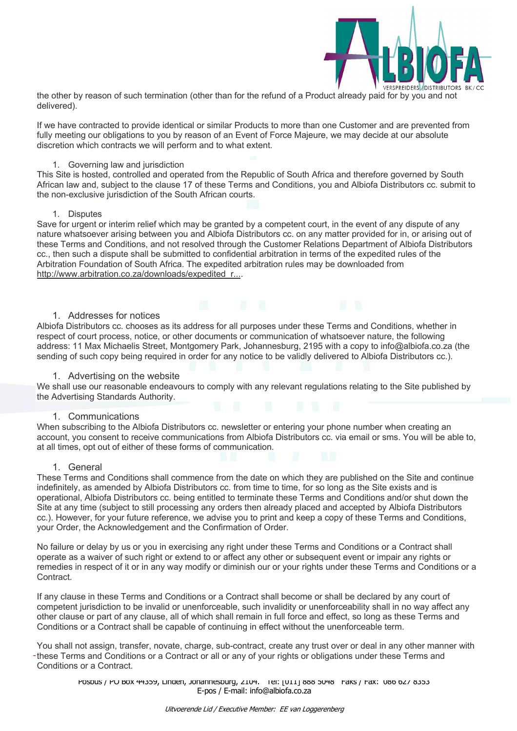

the other by reason of such termination (other than for the refund of a Product already paid for by you and not delivered).

If we have contracted to provide identical or similar Products to more than one Customer and are prevented from fully meeting our obligations to you by reason of an Event of Force Majeure, we may decide at our absolute discretion which contracts we will perform and to what extent.

#### 1. Governing law and jurisdiction

This Site is hosted, controlled and operated from the Republic of South Africa and therefore governed by South African law and, subject to the clause 17 of these Terms and Conditions, you and Albiofa Distributors cc. submit to the non-exclusive jurisdiction of the South African courts.

#### 1. Disputes

Save for urgent or interim relief which may be granted by a competent court, in the event of any dispute of any nature whatsoever arising between you and Albiofa Distributors cc. on any matter provided for in, or arising out of these Terms and Conditions, and not resolved through the Customer Relations Department of Albiofa Distributors cc., then such a dispute shall be submitted to confidential arbitration in terms of the expedited rules of the Arbitration Foundation of South Africa. The expedited arbitration rules may be downloaded from http://www.arbitration.co.za/downloads/expedited\_r....

## 1. Addresses for notices

Albiofa Distributors cc. chooses as its address for all purposes under these Terms and Conditions, whether in respect of court process, notice, or other documents or communication of whatsoever nature, the following address: 11 Max Michaelis Street, Montgomery Park, Johannesburg, 2195 with a copy to info@albiofa.co.za (the sending of such copy being required in order for any notice to be validly delivered to Albiofa Distributors cc.).

# 1. Advertising on the website

We shall use our reasonable endeavours to comply with any relevant regulations relating to the Site published by the Advertising Standards Authority.

# 1. Communications

When subscribing to the Albiofa Distributors cc. newsletter or entering your phone number when creating an account, you consent to receive communications from Albiofa Distributors cc. via email or sms. You will be able to, at all times, opt out of either of these forms of communication.

#### 1. General

These Terms and Conditions shall commence from the date on which they are published on the Site and continue indefinitely, as amended by Albiofa Distributors cc. from time to time, for so long as the Site exists and is operational, Albiofa Distributors cc. being entitled to terminate these Terms and Conditions and/or shut down the Site at any time (subject to still processing any orders then already placed and accepted by Albiofa Distributors cc.). However, for your future reference, we advise you to print and keep a copy of these Terms and Conditions, your Order, the Acknowledgement and the Confirmation of Order.

No failure or delay by us or you in exercising any right under these Terms and Conditions or a Contract shall operate as a waiver of such right or extend to or affect any other or subsequent event or impair any rights or remedies in respect of it or in any way modify or diminish our or your rights under these Terms and Conditions or a Contract.

If any clause in these Terms and Conditions or a Contract shall become or shall be declared by any court of competent jurisdiction to be invalid or unenforceable, such invalidity or unenforceability shall in no way affect any other clause or part of any clause, all of which shall remain in full force and effect, so long as these Terms and Conditions or a Contract shall be capable of continuing in effect without the unenforceable term.

You shall not assign, transfer, novate, charge, sub-contract, create any trust over or deal in any other manner with these Terms and Conditions or a Contract or all or any of your rights or obligations under these Terms and Conditions or a Contract.

> POSDUS / PU BOX 44359, LINGEN, JONANNESDUIG, ZIU4. TEL: [011] 888 5048 FAKS / FAX: 080 6Z/ 8353 E-pos / E-mail: info@albiofa.co.za